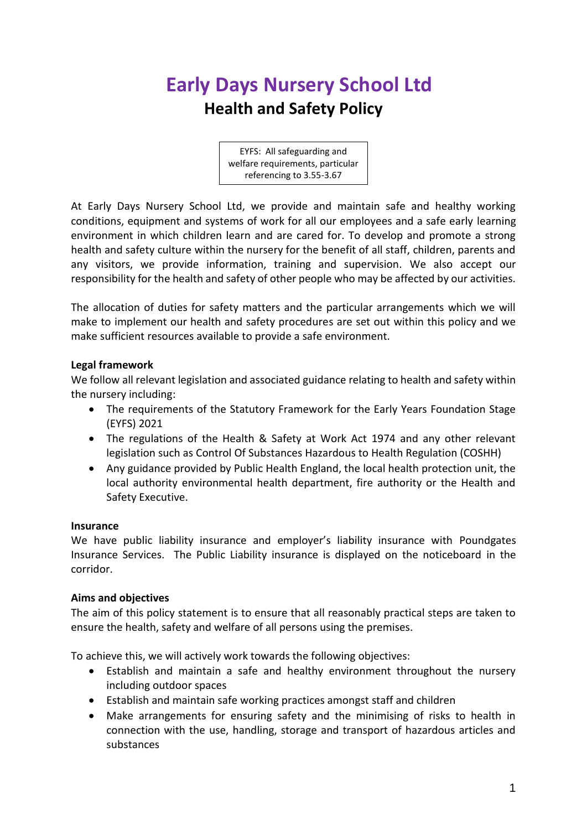# **Early Days Nursery School Ltd Health and Safety Policy**

EYFS: All safeguarding and welfare requirements, particular referencing to 3.55-3.67

At Early Days Nursery School Ltd, we provide and maintain safe and healthy working conditions, equipment and systems of work for all our employees and a safe early learning environment in which children learn and are cared for. To develop and promote a strong health and safety culture within the nursery for the benefit of all staff, children, parents and any visitors, we provide information, training and supervision. We also accept our responsibility for the health and safety of other people who may be affected by our activities.

The allocation of duties for safety matters and the particular arrangements which we will make to implement our health and safety procedures are set out within this policy and we make sufficient resources available to provide a safe environment.

## **Legal framework**

We follow all relevant legislation and associated guidance relating to health and safety within the nursery including:

- The requirements of the Statutory Framework for the Early Years Foundation Stage (EYFS) 2021
- The regulations of the Health & Safety at Work Act 1974 and any other relevant legislation such as Control Of Substances Hazardous to Health Regulation (COSHH)
- Any guidance provided by Public Health England, the local health protection unit, the local authority environmental health department, fire authority or the Health and Safety Executive.

## **Insurance**

We have public liability insurance and employer's liability insurance with Poundgates Insurance Services. The Public Liability insurance is displayed on the noticeboard in the corridor.

## **Aims and objectives**

The aim of this policy statement is to ensure that all reasonably practical steps are taken to ensure the health, safety and welfare of all persons using the premises.

To achieve this, we will actively work towards the following objectives:

- Establish and maintain a safe and healthy environment throughout the nursery including outdoor spaces
- Establish and maintain safe working practices amongst staff and children
- Make arrangements for ensuring safety and the minimising of risks to health in connection with the use, handling, storage and transport of hazardous articles and substances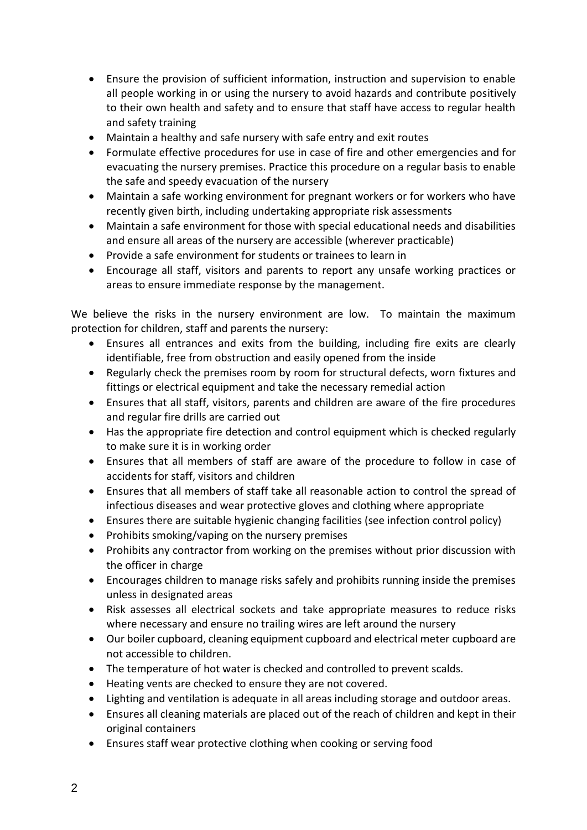- Ensure the provision of sufficient information, instruction and supervision to enable all people working in or using the nursery to avoid hazards and contribute positively to their own health and safety and to ensure that staff have access to regular health and safety training
- Maintain a healthy and safe nursery with safe entry and exit routes
- Formulate effective procedures for use in case of fire and other emergencies and for evacuating the nursery premises. Practice this procedure on a regular basis to enable the safe and speedy evacuation of the nursery
- Maintain a safe working environment for pregnant workers or for workers who have recently given birth, including undertaking appropriate risk assessments
- Maintain a safe environment for those with special educational needs and disabilities and ensure all areas of the nursery are accessible (wherever practicable)
- Provide a safe environment for students or trainees to learn in
- Encourage all staff, visitors and parents to report any unsafe working practices or areas to ensure immediate response by the management.

We believe the risks in the nursery environment are low. To maintain the maximum protection for children, staff and parents the nursery:

- Ensures all entrances and exits from the building, including fire exits are clearly identifiable, free from obstruction and easily opened from the inside
- Regularly check the premises room by room for structural defects, worn fixtures and fittings or electrical equipment and take the necessary remedial action
- Ensures that all staff, visitors, parents and children are aware of the fire procedures and regular fire drills are carried out
- Has the appropriate fire detection and control equipment which is checked regularly to make sure it is in working order
- Ensures that all members of staff are aware of the procedure to follow in case of accidents for staff, visitors and children
- Ensures that all members of staff take all reasonable action to control the spread of infectious diseases and wear protective gloves and clothing where appropriate
- Ensures there are suitable hygienic changing facilities (see infection control policy)
- Prohibits smoking/vaping on the nursery premises
- Prohibits any contractor from working on the premises without prior discussion with the officer in charge
- Encourages children to manage risks safely and prohibits running inside the premises unless in designated areas
- Risk assesses all electrical sockets and take appropriate measures to reduce risks where necessary and ensure no trailing wires are left around the nursery
- Our boiler cupboard, cleaning equipment cupboard and electrical meter cupboard are not accessible to children.
- The temperature of hot water is checked and controlled to prevent scalds.
- Heating vents are checked to ensure they are not covered.
- Lighting and ventilation is adequate in all areas including storage and outdoor areas.
- Ensures all cleaning materials are placed out of the reach of children and kept in their original containers
- Ensures staff wear protective clothing when cooking or serving food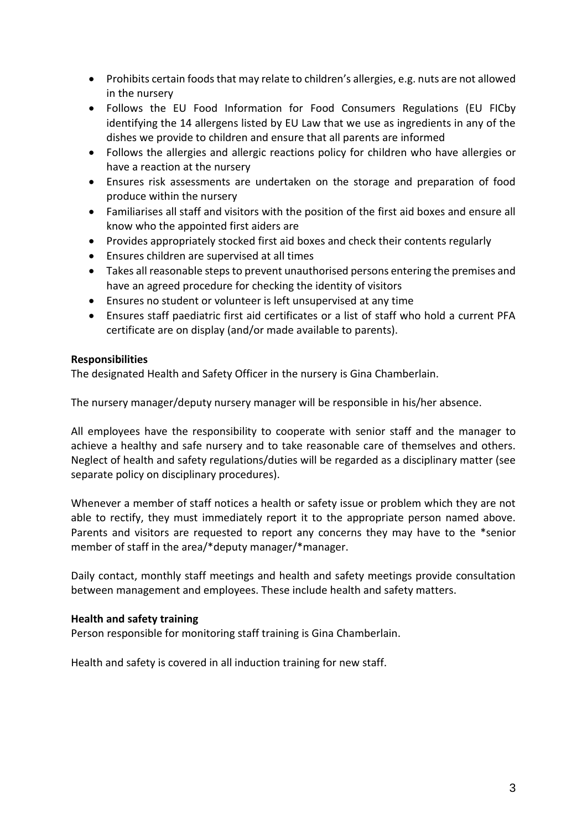- Prohibits certain foods that may relate to children's allergies, e.g. nuts are not allowed in the nursery
- Follows the EU Food Information for Food Consumers Regulations (EU FICby identifying the 14 allergens listed by EU Law that we use as ingredients in any of the dishes we provide to children and ensure that all parents are informed
- Follows the allergies and allergic reactions policy for children who have allergies or have a reaction at the nursery
- Ensures risk assessments are undertaken on the storage and preparation of food produce within the nursery
- Familiarises all staff and visitors with the position of the first aid boxes and ensure all know who the appointed first aiders are
- Provides appropriately stocked first aid boxes and check their contents regularly
- Ensures children are supervised at all times
- Takes all reasonable steps to prevent unauthorised persons entering the premises and have an agreed procedure for checking the identity of visitors
- Ensures no student or volunteer is left unsupervised at any time
- Ensures staff paediatric first aid certificates or a list of staff who hold a current PFA certificate are on display (and/or made available to parents).

## **Responsibilities**

The designated Health and Safety Officer in the nursery is Gina Chamberlain.

The nursery manager/deputy nursery manager will be responsible in his/her absence.

All employees have the responsibility to cooperate with senior staff and the manager to achieve a healthy and safe nursery and to take reasonable care of themselves and others. Neglect of health and safety regulations/duties will be regarded as a disciplinary matter (see separate policy on disciplinary procedures).

Whenever a member of staff notices a health or safety issue or problem which they are not able to rectify, they must immediately report it to the appropriate person named above. Parents and visitors are requested to report any concerns they may have to the \*senior member of staff in the area/\*deputy manager/\*manager.

Daily contact, monthly staff meetings and health and safety meetings provide consultation between management and employees. These include health and safety matters.

#### **Health and safety training**

Person responsible for monitoring staff training is Gina Chamberlain.

Health and safety is covered in all induction training for new staff.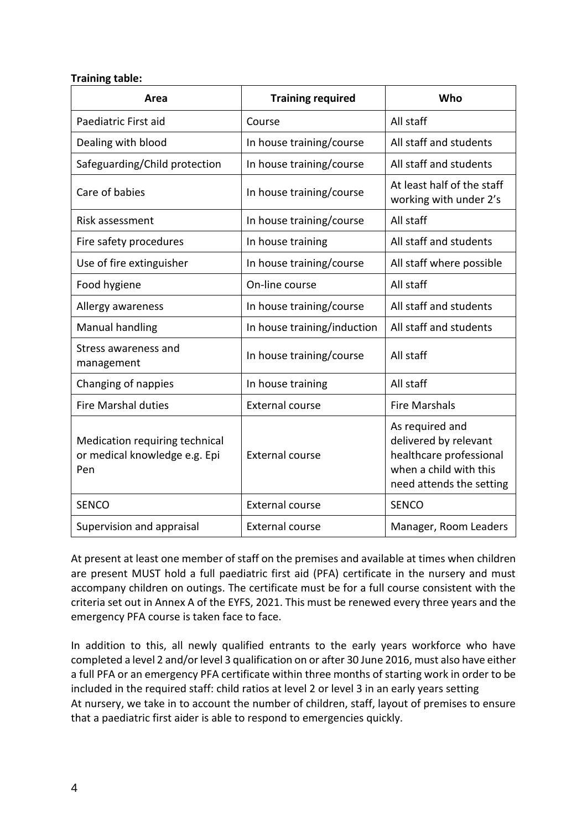#### **Training table:**

| Area                                                                   | <b>Training required</b>    | Who                                                                                                                       |
|------------------------------------------------------------------------|-----------------------------|---------------------------------------------------------------------------------------------------------------------------|
| Paediatric First aid                                                   | Course                      | All staff                                                                                                                 |
| Dealing with blood                                                     | In house training/course    | All staff and students                                                                                                    |
| Safeguarding/Child protection                                          | In house training/course    | All staff and students                                                                                                    |
| Care of babies                                                         | In house training/course    | At least half of the staff<br>working with under 2's                                                                      |
| Risk assessment                                                        | In house training/course    | All staff                                                                                                                 |
| Fire safety procedures                                                 | In house training           | All staff and students                                                                                                    |
| Use of fire extinguisher                                               | In house training/course    | All staff where possible                                                                                                  |
| Food hygiene                                                           | On-line course              | All staff                                                                                                                 |
| Allergy awareness                                                      | In house training/course    | All staff and students                                                                                                    |
| Manual handling                                                        | In house training/induction | All staff and students                                                                                                    |
| Stress awareness and<br>management                                     | In house training/course    | All staff                                                                                                                 |
| Changing of nappies                                                    | In house training           | All staff                                                                                                                 |
| <b>Fire Marshal duties</b>                                             | <b>External course</b>      | <b>Fire Marshals</b>                                                                                                      |
| Medication requiring technical<br>or medical knowledge e.g. Epi<br>Pen | <b>External course</b>      | As required and<br>delivered by relevant<br>healthcare professional<br>when a child with this<br>need attends the setting |
| <b>SENCO</b>                                                           | <b>External course</b>      | <b>SENCO</b>                                                                                                              |
| Supervision and appraisal                                              | <b>External course</b>      | Manager, Room Leaders                                                                                                     |

At present at least one member of staff on the premises and available at times when children are present MUST hold a full paediatric first aid (PFA) certificate in the nursery and must accompany children on outings. The certificate must be for a full course consistent with the criteria set out in Annex A of the EYFS, 2021. This must be renewed every three years and the emergency PFA course is taken face to face.

In addition to this, all newly qualified entrants to the early years workforce who have completed a level 2 and/or level 3 qualification on or after 30 June 2016, must also have either a full PFA or an emergency PFA certificate within three months of starting work in order to be included in the required staff: child ratios at level 2 or level 3 in an early years setting At nursery, we take in to account the number of children, staff, layout of premises to ensure that a paediatric first aider is able to respond to emergencies quickly.